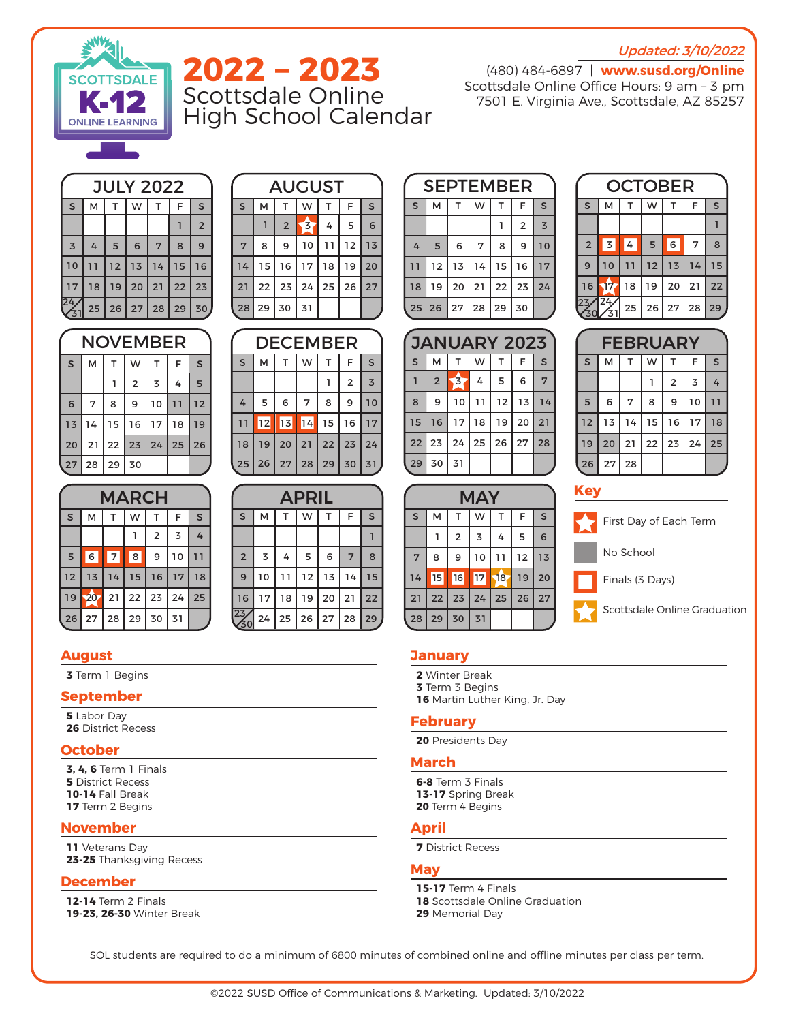## **Updated: 3/10/2022**



# **2022 – 2023** Scottsdale Online High School Calendar

(480) 484-6897 | **www.susd.org/Online** Scottsdale Online Office Hours: 9 am – 3 pm 7501 E. Virginia Ave., Scottsdale, AZ 85257

| <b>JULY 2022</b> |    |             |                |                 |    |                |  |  |
|------------------|----|-------------|----------------|-----------------|----|----------------|--|--|
| S                | M  | $\mathsf T$ | W              | T.              | F  | S              |  |  |
|                  |    |             |                |                 |    | $\overline{2}$ |  |  |
| $\overline{3}$   | 4  | 5           | 6              | $7\phantom{.0}$ | 8  | 9              |  |  |
| 10               | 11 | 12          | 13             | 14              | 15 | 16             |  |  |
| 17               | 18 | 19          | 20             | 21              | 22 | 23             |  |  |
|                  |    |             | 25 26 27 28 29 |                 |    | 30             |  |  |

| NOVEMBER |    |                 |    |    |    |    |  |
|----------|----|-----------------|----|----|----|----|--|
| S        | M  | т               | W  | т  | F  | S  |  |
|          |    |                 | 2  | 3  | 4  | 5  |  |
| 6        | 7  | 8               | 9  | 10 | 11 | 12 |  |
| 13       | 14 | 15 <sub>1</sub> | 16 | 17 | 18 | 19 |  |
| 20       | 21 | $22 \mid 23$    |    | 24 | 25 | 26 |  |
| 27       | 28 | 29              | 30 |    |    |    |  |

| <b>AUGUST</b> |  |                 |                |                         |    |    |    |
|---------------|--|-----------------|----------------|-------------------------|----|----|----|
| S             |  | М               | т              | W                       |    | F  | S  |
|               |  |                 | $\overline{2}$ | $\overline{\mathbf{z}}$ | 4  | 5  | 6  |
| 7             |  | 8               | 9              | 10                      | 11 | 12 | 13 |
| 14            |  | 15 <sub>1</sub> | 16             | 17                      | 18 | 19 | 20 |
| 21            |  | 22              | 23             | 24                      | 25 | 26 | 27 |
| 28            |  |                 | 29 30          | 31                      |    |    |    |

| DECEMBER |    |    |                 |    |                |                |  |  |
|----------|----|----|-----------------|----|----------------|----------------|--|--|
| S        | м  | T. | W               | T  | F              | S              |  |  |
|          |    |    |                 |    | $\overline{2}$ | $\overline{3}$ |  |  |
| 4        | 5  | 6  | $7\phantom{.0}$ | 8  | 9              | 10             |  |  |
| 11       | 12 | 13 | $\overline{14}$ | 15 | 16             | 17             |  |  |
| 18       | 19 | 20 | 21              | 22 | 23             | 24             |  |  |
|          |    |    | 25 26 27 28 29  |    | 30             | 31             |  |  |

| <b>MARCH</b> |    |         |    |                |    |         |  |  |  |
|--------------|----|---------|----|----------------|----|---------|--|--|--|
| $\mathsf{s}$ | М  | T.      | W  | т              | F  | $\sf S$ |  |  |  |
|              |    |         |    | $\overline{2}$ | 3  | 4       |  |  |  |
| 5            | 6  | 7       | 8  | 9              | 10 |         |  |  |  |
| 12           | 13 | 14      | 15 | 16             | 17 | 18      |  |  |  |
| 19           | 20 | 21      | 22 | 23             | 24 | 25      |  |  |  |
| 26           | 27 | $28$ 29 |    | 30             | 31 |         |  |  |  |

| <b>APRIL</b>   |    |    |              |    |    |    |  |  |
|----------------|----|----|--------------|----|----|----|--|--|
| S              | M  | T  | W            | T  | F  | S  |  |  |
|                |    |    |              |    |    |    |  |  |
| $\overline{2}$ | 3  | 4  | 5            | 6  | 7  | 8  |  |  |
| 9              | 10 | 11 | 12           | 13 | 14 | 15 |  |  |
| 16             | 17 | 18 | 19           | 20 | 21 | 22 |  |  |
|                | 24 | 25 | $26 \mid 27$ |    | 28 | 29 |  |  |

# **August**

**3** Term 1 Begins

## **September**

**5** Labor Day **26** District Recess

## **October**

**3, 4, 6** Term 1 Finals **5** District Recess **10-14** Fall Break **17** Term 2 Begins

## **November**

**11** Veterans Day **23-25** Thanksgiving Recess

#### **December**

**12-14** Term 2 Finals **19-23, 26-30** Winter Break

| <b>SEPTEMBER</b> |                              |    |    |    |                |                |  |  |  |
|------------------|------------------------------|----|----|----|----------------|----------------|--|--|--|
| S                | M                            | T  | W  | т  | F              | S              |  |  |  |
|                  |                              |    |    |    | $\overline{2}$ | $\overline{3}$ |  |  |  |
| 4                | 5                            | 6  | 7  | 8  | 9              | 10             |  |  |  |
| 11               | 12                           | 13 | 14 | 15 | 16             | 17             |  |  |  |
| 18               | 19                           | 20 | 21 | 22 | 23             | 24             |  |  |  |
|                  | $25 \mid 26 \mid 27 \mid 28$ |    |    | 29 | 30             |                |  |  |  |

| <b>JANUARY 2023</b> |                |                                |    |    |    |    |  |
|---------------------|----------------|--------------------------------|----|----|----|----|--|
| S                   | М              | T.                             | W  | T. | F  | S  |  |
|                     | $\overline{2}$ | $\left\langle 3 \right\rangle$ | 4  | 5  | 6  | 7  |  |
| 8                   | 9              | 10                             | 11 | 12 | 13 | 14 |  |
| 15                  | 16             | 17                             | 18 | 19 | 20 | 21 |  |
| 22                  | 23             | 24                             | 25 | 26 | 27 | 28 |  |
| 29                  | 30             | 31                             |    |    |    |    |  |

| <b>OCTOBER</b> |          |    |           |    |    |    |  |  |
|----------------|----------|----|-----------|----|----|----|--|--|
| S              | М        | т  | W         | т  | F  | S  |  |  |
|                |          |    |           |    |    |    |  |  |
| $\overline{2}$ | 3        | 4  | 5         | 6  | 7  | 8  |  |  |
| 9              | 10       | 11 | 12        | 13 | 14 | 15 |  |  |
| 16             | 17.      | 18 | 19        | 20 | 21 | 22 |  |  |
|                | 24/<br>3 | 25 | $26$   27 |    | 28 | 29 |  |  |

| <b>FEBRUARY</b> |    |    |    |    |                |    |  |
|-----------------|----|----|----|----|----------------|----|--|
| S               | M  | T  | W  | т  | F              | S  |  |
|                 |    |    |    | 2  | $\overline{3}$ | 4  |  |
| 5               | 6  | 7  | 8  | 9  | 10             |    |  |
| 12              | 13 | 14 | 15 | 16 | 17             | 18 |  |
| 19              | 20 | 21 | 22 | 23 | 24             | 25 |  |
| 26              | 27 | 28 |    |    |                |    |  |

## **Key**

| <b>MAY</b> |       |                |                |    |    |    |  |  |  |
|------------|-------|----------------|----------------|----|----|----|--|--|--|
| S          | М     | T.             | W              | T  | F  | S  |  |  |  |
|            |       | $\overline{2}$ | $\overline{3}$ | 4  | 5  | 6  |  |  |  |
| 7          | 8     | 9              | 10             | 11 | 12 | 13 |  |  |  |
| 14         | 15    | 16             | 17             | 18 | 19 | 20 |  |  |  |
| 21         | 22    | 23             | 24             | 25 | 26 | 27 |  |  |  |
| 28         | 29 30 |                | 31             |    |    |    |  |  |  |

First Day of Each Term

No School

Finals (3 Days)

Scottsdale Online Graduation

## **January**

- **2** Winter Break
- **3** Term 3 Begins
- **16** Martin Luther King, Jr. Day

#### **February**

**20** Presidents Day

#### **March**

**6-8** Term 3 Finals **13-17** Spring Break **20** Term 4 Begins

# **April**

**7** District Recess

# **May**

**15-17** Term 4 Finals **18** Scottsdale Online Graduation **29** Memorial Day

SOL students are required to do a minimum of 6800 minutes of combined online and offline minutes per class per term.